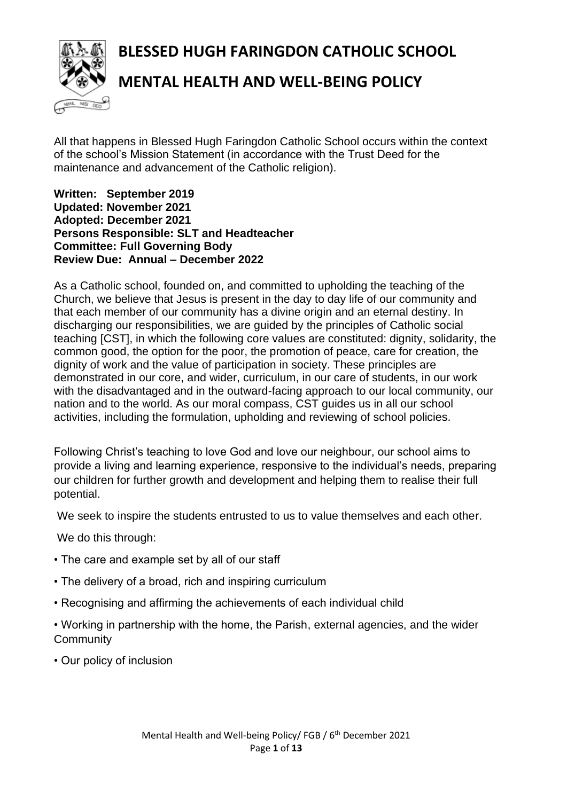**BLESSED HUGH FARINGDON CATHOLIC SCHOOL**



# **MENTAL HEALTH AND WELL-BEING POLICY**

All that happens in Blessed Hugh Faringdon Catholic School occurs within the context of the school's Mission Statement (in accordance with the Trust Deed for the maintenance and advancement of the Catholic religion).

#### **Written: September 2019 Updated: November 2021 Adopted: December 2021 Persons Responsible: SLT and Headteacher Committee: Full Governing Body Review Due: Annual – December 2022**

As a Catholic school, founded on, and committed to upholding the teaching of the Church, we believe that Jesus is present in the day to day life of our community and that each member of our community has a divine origin and an eternal destiny. In discharging our responsibilities, we are guided by the principles of Catholic social teaching [CST], in which the following core values are constituted: dignity, solidarity, the common good, the option for the poor, the promotion of peace, care for creation, the dignity of work and the value of participation in society. These principles are demonstrated in our core, and wider, curriculum, in our care of students, in our work with the disadvantaged and in the outward-facing approach to our local community, our nation and to the world. As our moral compass, CST guides us in all our school activities, including the formulation, upholding and reviewing of school policies.

Following Christ's teaching to love God and love our neighbour, our school aims to provide a living and learning experience, responsive to the individual's needs, preparing our children for further growth and development and helping them to realise their full potential.

We seek to inspire the students entrusted to us to value themselves and each other.

We do this through:

- The care and example set by all of our staff
- The delivery of a broad, rich and inspiring curriculum
- Recognising and affirming the achievements of each individual child
- Working in partnership with the home, the Parish, external agencies, and the wider **Community**
- Our policy of inclusion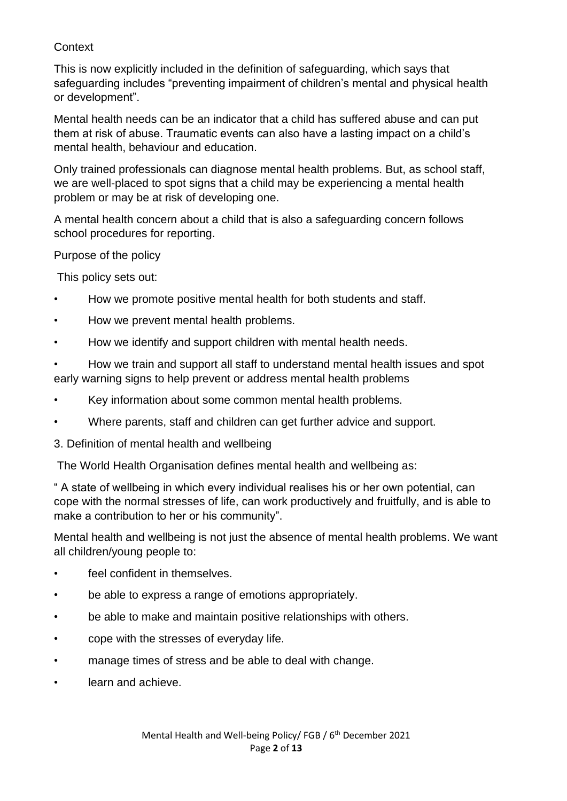## **Context**

This is now explicitly included in the definition of safeguarding, which says that safeguarding includes "preventing impairment of children's mental and physical health or development".

Mental health needs can be an indicator that a child has suffered abuse and can put them at risk of abuse. Traumatic events can also have a lasting impact on a child's mental health, behaviour and education.

Only trained professionals can diagnose mental health problems. But, as school staff, we are well-placed to spot signs that a child may be experiencing a mental health problem or may be at risk of developing one.

A mental health concern about a child that is also a safeguarding concern follows school procedures for reporting.

Purpose of the policy

This policy sets out:

- How we promote positive mental health for both students and staff.
- How we prevent mental health problems.
- How we identify and support children with mental health needs.
- How we train and support all staff to understand mental health issues and spot early warning signs to help prevent or address mental health problems
- Key information about some common mental health problems.
- Where parents, staff and children can get further advice and support.
- 3. Definition of mental health and wellbeing

The World Health Organisation defines mental health and wellbeing as:

" A state of wellbeing in which every individual realises his or her own potential, can cope with the normal stresses of life, can work productively and fruitfully, and is able to make a contribution to her or his community".

Mental health and wellbeing is not just the absence of mental health problems. We want all children/young people to:

- feel confident in themselves.
- be able to express a range of emotions appropriately.
- be able to make and maintain positive relationships with others.
- cope with the stresses of everyday life.
- manage times of stress and be able to deal with change.
- learn and achieve.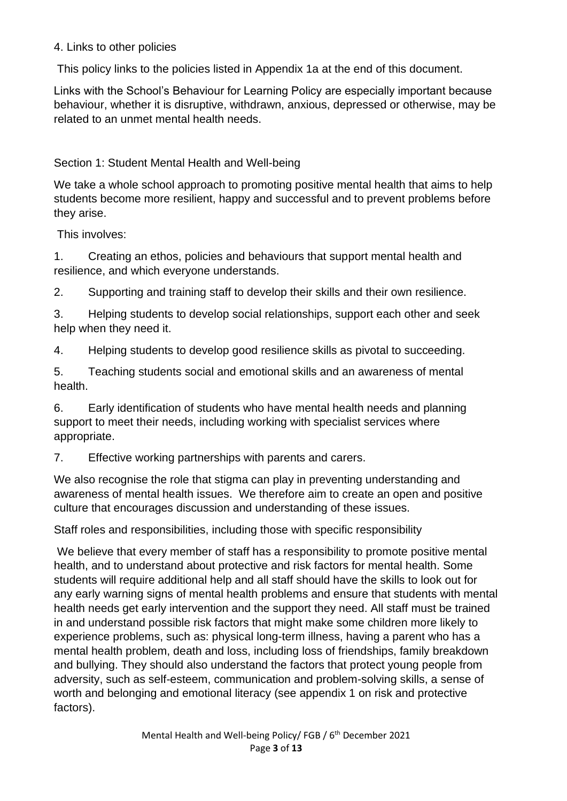#### 4. Links to other policies

This policy links to the policies listed in Appendix 1a at the end of this document.

Links with the School's Behaviour for Learning Policy are especially important because behaviour, whether it is disruptive, withdrawn, anxious, depressed or otherwise, may be related to an unmet mental health needs.

Section 1: Student Mental Health and Well-being

We take a whole school approach to promoting positive mental health that aims to help students become more resilient, happy and successful and to prevent problems before they arise.

This involves:

1. Creating an ethos, policies and behaviours that support mental health and resilience, and which everyone understands.

2. Supporting and training staff to develop their skills and their own resilience.

3. Helping students to develop social relationships, support each other and seek help when they need it.

4. Helping students to develop good resilience skills as pivotal to succeeding.

5. Teaching students social and emotional skills and an awareness of mental health.

6. Early identification of students who have mental health needs and planning support to meet their needs, including working with specialist services where appropriate.

7. Effective working partnerships with parents and carers.

We also recognise the role that stigma can play in preventing understanding and awareness of mental health issues. We therefore aim to create an open and positive culture that encourages discussion and understanding of these issues.

Staff roles and responsibilities, including those with specific responsibility

We believe that every member of staff has a responsibility to promote positive mental health, and to understand about protective and risk factors for mental health. Some students will require additional help and all staff should have the skills to look out for any early warning signs of mental health problems and ensure that students with mental health needs get early intervention and the support they need. All staff must be trained in and understand possible risk factors that might make some children more likely to experience problems, such as: physical long-term illness, having a parent who has a mental health problem, death and loss, including loss of friendships, family breakdown and bullying. They should also understand the factors that protect young people from adversity, such as self-esteem, communication and problem-solving skills, a sense of worth and belonging and emotional literacy (see appendix 1 on risk and protective factors).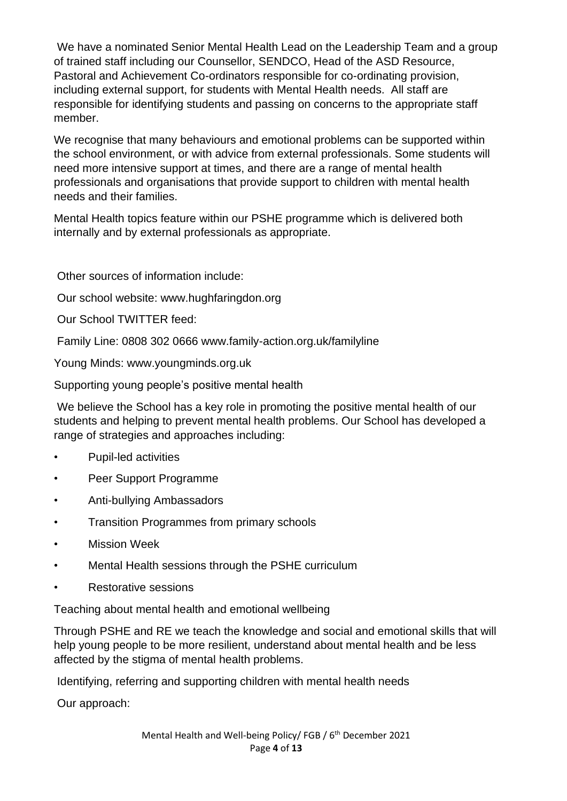We have a nominated Senior Mental Health Lead on the Leadership Team and a group of trained staff including our Counsellor, SENDCO, Head of the ASD Resource, Pastoral and Achievement Co-ordinators responsible for co-ordinating provision, including external support, for students with Mental Health needs. All staff are responsible for identifying students and passing on concerns to the appropriate staff member.

We recognise that many behaviours and emotional problems can be supported within the school environment, or with advice from external professionals. Some students will need more intensive support at times, and there are a range of mental health professionals and organisations that provide support to children with mental health needs and their families.

Mental Health topics feature within our PSHE programme which is delivered both internally and by external professionals as appropriate.

Other sources of information include:

Our school website: www.hughfaringdon.org

Our School TWITTER feed:

Family Line: 0808 302 0666 www.family-action.org.uk/familyline

Young Minds: www.youngminds.org.uk

Supporting young people's positive mental health

We believe the School has a key role in promoting the positive mental health of our students and helping to prevent mental health problems. Our School has developed a range of strategies and approaches including:

- Pupil-led activities
- Peer Support Programme
- Anti-bullying Ambassadors
- Transition Programmes from primary schools
- **Mission Week**
- Mental Health sessions through the PSHE curriculum
- Restorative sessions

Teaching about mental health and emotional wellbeing

Through PSHE and RE we teach the knowledge and social and emotional skills that will help young people to be more resilient, understand about mental health and be less affected by the stigma of mental health problems.

Identifying, referring and supporting children with mental health needs

Our approach: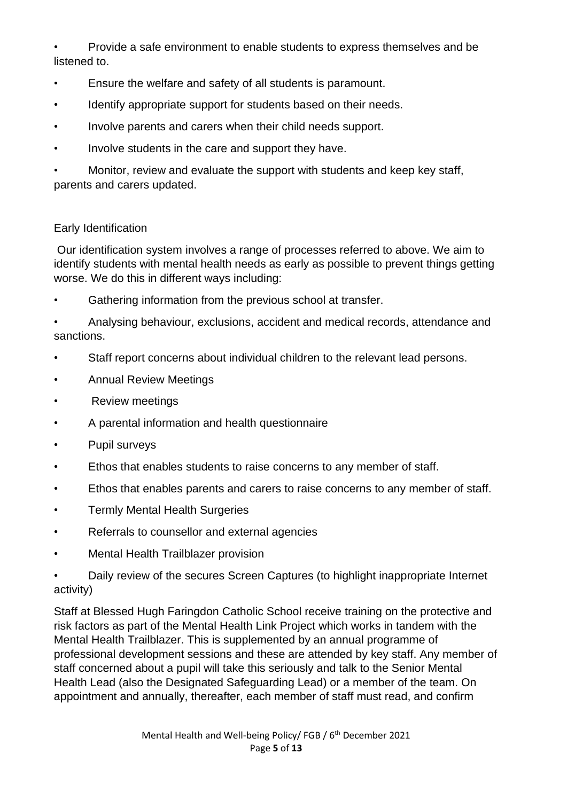• Provide a safe environment to enable students to express themselves and be listened to.

- Ensure the welfare and safety of all students is paramount.
- Identify appropriate support for students based on their needs.
- Involve parents and carers when their child needs support.
- Involve students in the care and support they have.

• Monitor, review and evaluate the support with students and keep key staff, parents and carers updated.

#### Early Identification

Our identification system involves a range of processes referred to above. We aim to identify students with mental health needs as early as possible to prevent things getting worse. We do this in different ways including:

Gathering information from the previous school at transfer.

• Analysing behaviour, exclusions, accident and medical records, attendance and sanctions.

- Staff report concerns about individual children to the relevant lead persons.
- Annual Review Meetings
- Review meetings
- A parental information and health questionnaire
- Pupil surveys
- Ethos that enables students to raise concerns to any member of staff.
- Ethos that enables parents and carers to raise concerns to any member of staff.
- Termly Mental Health Surgeries
- Referrals to counsellor and external agencies
- Mental Health Trailblazer provision
- Daily review of the secures Screen Captures (to highlight inappropriate Internet activity)

Staff at Blessed Hugh Faringdon Catholic School receive training on the protective and risk factors as part of the Mental Health Link Project which works in tandem with the Mental Health Trailblazer. This is supplemented by an annual programme of professional development sessions and these are attended by key staff. Any member of staff concerned about a pupil will take this seriously and talk to the Senior Mental Health Lead (also the Designated Safeguarding Lead) or a member of the team. On appointment and annually, thereafter, each member of staff must read, and confirm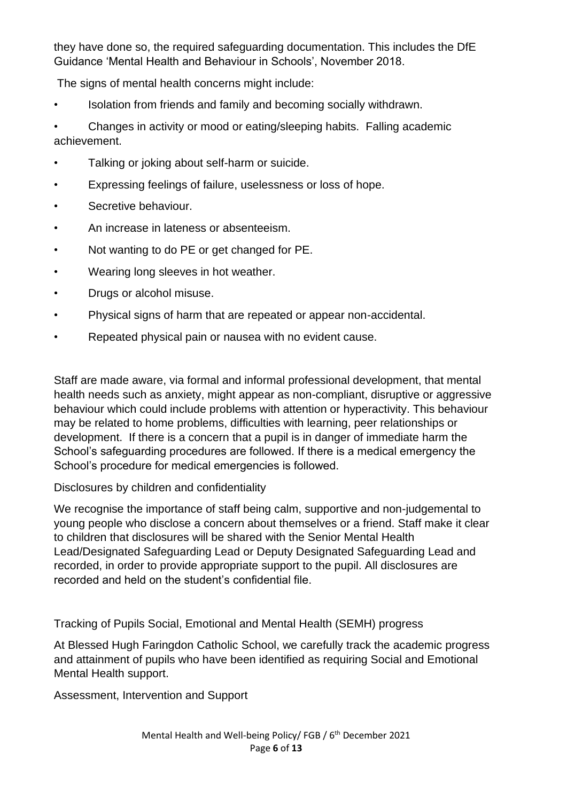they have done so, the required safeguarding documentation. This includes the DfE Guidance 'Mental Health and Behaviour in Schools', November 2018.

The signs of mental health concerns might include:

• Isolation from friends and family and becoming socially withdrawn.

• Changes in activity or mood or eating/sleeping habits. Falling academic achievement.

- Talking or joking about self-harm or suicide.
- Expressing feelings of failure, uselessness or loss of hope.
- Secretive behaviour.
- An increase in lateness or absenteeism.
- Not wanting to do PE or get changed for PE.
- Wearing long sleeves in hot weather.
- Drugs or alcohol misuse.
- Physical signs of harm that are repeated or appear non-accidental.
- Repeated physical pain or nausea with no evident cause.

Staff are made aware, via formal and informal professional development, that mental health needs such as anxiety, might appear as non-compliant, disruptive or aggressive behaviour which could include problems with attention or hyperactivity. This behaviour may be related to home problems, difficulties with learning, peer relationships or development. If there is a concern that a pupil is in danger of immediate harm the School's safeguarding procedures are followed. If there is a medical emergency the School's procedure for medical emergencies is followed.

Disclosures by children and confidentiality

We recognise the importance of staff being calm, supportive and non-judgemental to young people who disclose a concern about themselves or a friend. Staff make it clear to children that disclosures will be shared with the Senior Mental Health Lead/Designated Safeguarding Lead or Deputy Designated Safeguarding Lead and recorded, in order to provide appropriate support to the pupil. All disclosures are recorded and held on the student's confidential file.

Tracking of Pupils Social, Emotional and Mental Health (SEMH) progress

At Blessed Hugh Faringdon Catholic School, we carefully track the academic progress and attainment of pupils who have been identified as requiring Social and Emotional Mental Health support.

Assessment, Intervention and Support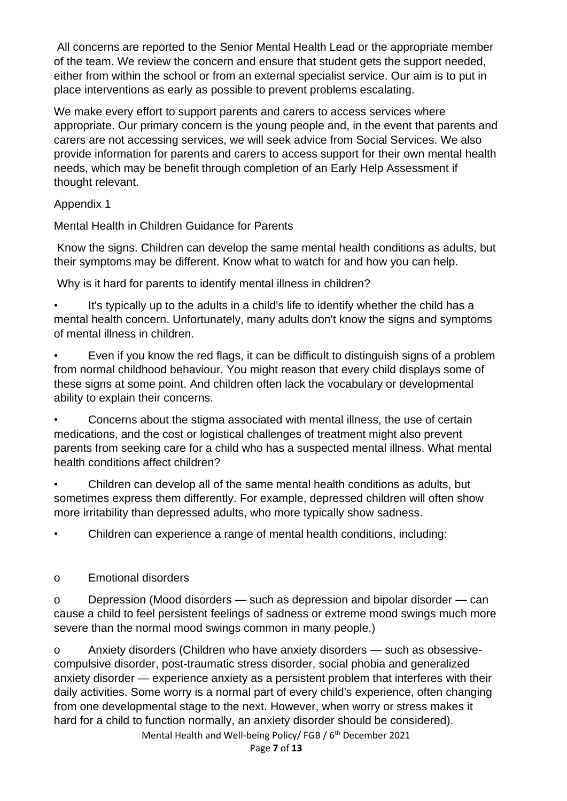All concerns are reported to the Senior Mental Health Lead or the appropriate member of the team. We review the concern and ensure that student gets the support needed, either from within the school or from an external specialist service. Our aim is to put in place interventions as early as possible to prevent problems escalating.

We make every effort to support parents and carers to access services where appropriate. Our primary concern is the young people and, in the event that parents and carers are not accessing services, we will seek advice from Social Services. We also provide information for parents and carers to access support for their own mental health needs, which may be benefit through completion of an Early Help Assessment if thought relevant.

# Appendix 1

Mental Health in Children Guidance for Parents

Know the signs. Children can develop the same mental health conditions as adults, but their symptoms may be different. Know what to watch for and how you can help.

Why is it hard for parents to identify mental illness in children?

It's typically up to the adults in a child's life to identify whether the child has a mental health concern. Unfortunately, many adults don't know the signs and symptoms of mental illness in children.

Even if you know the red flags, it can be difficult to distinguish signs of a problem from normal childhood behaviour. You might reason that every child displays some of these signs at some point. And children often lack the vocabulary or developmental ability to explain their concerns.

• Concerns about the stigma associated with mental illness, the use of certain medications, and the cost or logistical challenges of treatment might also prevent parents from seeking care for a child who has a suspected mental illness. What mental health conditions affect children?

• Children can develop all of the same mental health conditions as adults, but sometimes express them differently. For example, depressed children will often show more irritability than depressed adults, who more typically show sadness.

• Children can experience a range of mental health conditions, including:

o Emotional disorders

o Depression (Mood disorders — such as depression and bipolar disorder — can cause a child to feel persistent feelings of sadness or extreme mood swings much more severe than the normal mood swings common in many people.)

o Anxiety disorders (Children who have anxiety disorders — such as obsessivecompulsive disorder, post-traumatic stress disorder, social phobia and generalized anxiety disorder — experience anxiety as a persistent problem that interferes with their daily activities. Some worry is a normal part of every child's experience, often changing from one developmental stage to the next. However, when worry or stress makes it hard for a child to function normally, an anxiety disorder should be considered).

Mental Health and Well-being Policy/ FGB / 6<sup>th</sup> December 2021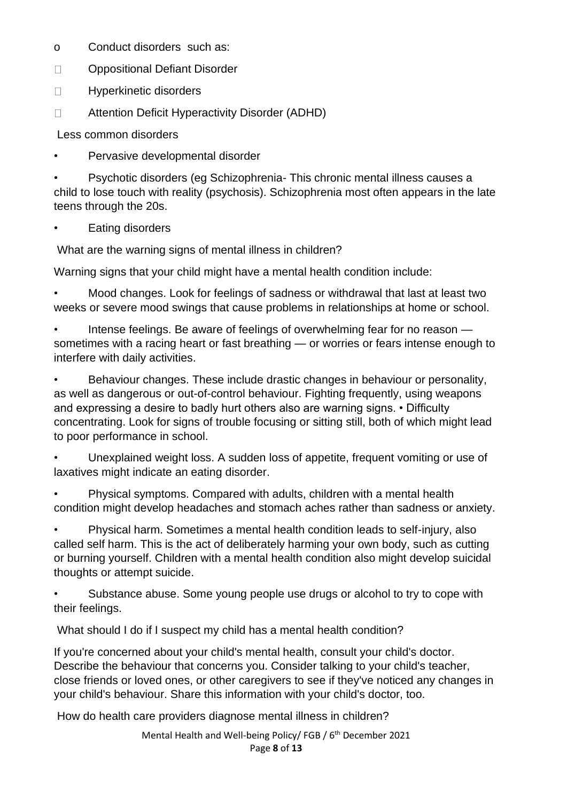- o Conduct disorders such as:
- $\Box$ Oppositional Defiant Disorder
- $\Box$ Hyperkinetic disorders
- Attention Deficit Hyperactivity Disorder (ADHD)  $\Box$

Less common disorders

• Pervasive developmental disorder

• Psychotic disorders (eg Schizophrenia- This chronic mental illness causes a child to lose touch with reality (psychosis). Schizophrenia most often appears in the late teens through the 20s.

Eating disorders

What are the warning signs of mental illness in children?

Warning signs that your child might have a mental health condition include:

• Mood changes. Look for feelings of sadness or withdrawal that last at least two weeks or severe mood swings that cause problems in relationships at home or school.

• Intense feelings. Be aware of feelings of overwhelming fear for no reason sometimes with a racing heart or fast breathing — or worries or fears intense enough to interfere with daily activities.

• Behaviour changes. These include drastic changes in behaviour or personality, as well as dangerous or out-of-control behaviour. Fighting frequently, using weapons and expressing a desire to badly hurt others also are warning signs. • Difficulty concentrating. Look for signs of trouble focusing or sitting still, both of which might lead to poor performance in school.

• Unexplained weight loss. A sudden loss of appetite, frequent vomiting or use of laxatives might indicate an eating disorder.

• Physical symptoms. Compared with adults, children with a mental health condition might develop headaches and stomach aches rather than sadness or anxiety.

• Physical harm. Sometimes a mental health condition leads to self-injury, also called self harm. This is the act of deliberately harming your own body, such as cutting or burning yourself. Children with a mental health condition also might develop suicidal thoughts or attempt suicide.

Substance abuse. Some young people use drugs or alcohol to try to cope with their feelings.

What should I do if I suspect my child has a mental health condition?

If you're concerned about your child's mental health, consult your child's doctor. Describe the behaviour that concerns you. Consider talking to your child's teacher, close friends or loved ones, or other caregivers to see if they've noticed any changes in your child's behaviour. Share this information with your child's doctor, too.

How do health care providers diagnose mental illness in children?

Mental Health and Well-being Policy/ FGB / 6<sup>th</sup> December 2021 Page **8** of **13**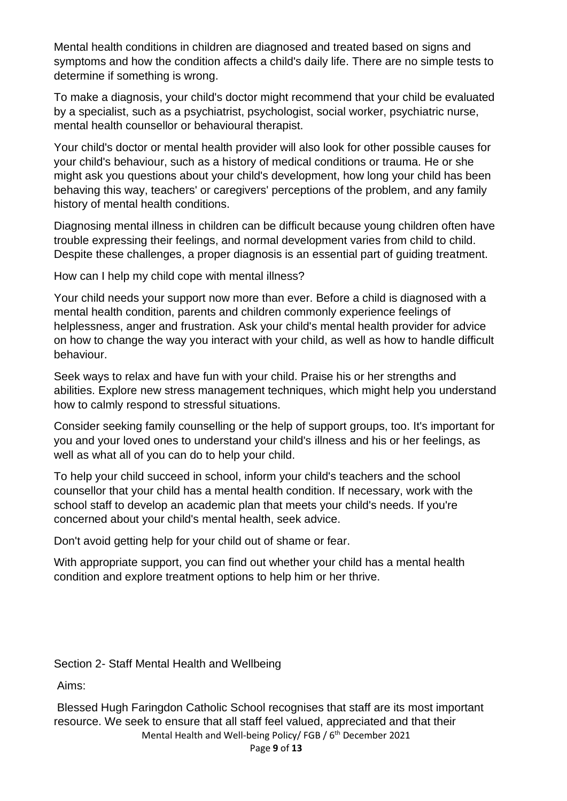Mental health conditions in children are diagnosed and treated based on signs and symptoms and how the condition affects a child's daily life. There are no simple tests to determine if something is wrong.

To make a diagnosis, your child's doctor might recommend that your child be evaluated by a specialist, such as a psychiatrist, psychologist, social worker, psychiatric nurse, mental health counsellor or behavioural therapist.

Your child's doctor or mental health provider will also look for other possible causes for your child's behaviour, such as a history of medical conditions or trauma. He or she might ask you questions about your child's development, how long your child has been behaving this way, teachers' or caregivers' perceptions of the problem, and any family history of mental health conditions.

Diagnosing mental illness in children can be difficult because young children often have trouble expressing their feelings, and normal development varies from child to child. Despite these challenges, a proper diagnosis is an essential part of guiding treatment.

How can I help my child cope with mental illness?

Your child needs your support now more than ever. Before a child is diagnosed with a mental health condition, parents and children commonly experience feelings of helplessness, anger and frustration. Ask your child's mental health provider for advice on how to change the way you interact with your child, as well as how to handle difficult behaviour.

Seek ways to relax and have fun with your child. Praise his or her strengths and abilities. Explore new stress management techniques, which might help you understand how to calmly respond to stressful situations.

Consider seeking family counselling or the help of support groups, too. It's important for you and your loved ones to understand your child's illness and his or her feelings, as well as what all of you can do to help your child.

To help your child succeed in school, inform your child's teachers and the school counsellor that your child has a mental health condition. If necessary, work with the school staff to develop an academic plan that meets your child's needs. If you're concerned about your child's mental health, seek advice.

Don't avoid getting help for your child out of shame or fear.

With appropriate support, you can find out whether your child has a mental health condition and explore treatment options to help him or her thrive.

Section 2- Staff Mental Health and Wellbeing

Aims:

Blessed Hugh Faringdon Catholic School recognises that staff are its most important resource. We seek to ensure that all staff feel valued, appreciated and that their

Mental Health and Well-being Policy/ FGB / 6<sup>th</sup> December 2021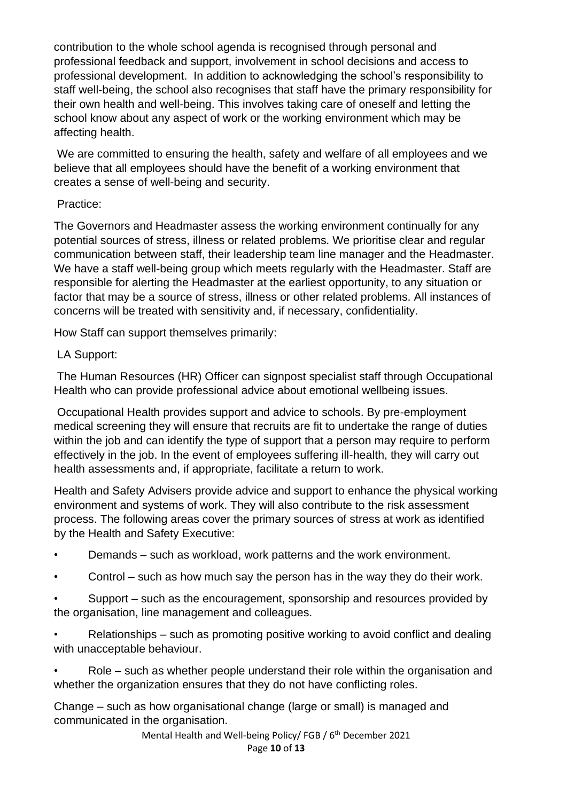contribution to the whole school agenda is recognised through personal and professional feedback and support, involvement in school decisions and access to professional development. In addition to acknowledging the school's responsibility to staff well-being, the school also recognises that staff have the primary responsibility for their own health and well-being. This involves taking care of oneself and letting the school know about any aspect of work or the working environment which may be affecting health.

We are committed to ensuring the health, safety and welfare of all employees and we believe that all employees should have the benefit of a working environment that creates a sense of well-being and security.

## Practice:

The Governors and Headmaster assess the working environment continually for any potential sources of stress, illness or related problems. We prioritise clear and regular communication between staff, their leadership team line manager and the Headmaster. We have a staff well-being group which meets regularly with the Headmaster. Staff are responsible for alerting the Headmaster at the earliest opportunity, to any situation or factor that may be a source of stress, illness or other related problems. All instances of concerns will be treated with sensitivity and, if necessary, confidentiality.

How Staff can support themselves primarily:

# LA Support:

The Human Resources (HR) Officer can signpost specialist staff through Occupational Health who can provide professional advice about emotional wellbeing issues.

Occupational Health provides support and advice to schools. By pre-employment medical screening they will ensure that recruits are fit to undertake the range of duties within the job and can identify the type of support that a person may require to perform effectively in the job. In the event of employees suffering ill-health, they will carry out health assessments and, if appropriate, facilitate a return to work.

Health and Safety Advisers provide advice and support to enhance the physical working environment and systems of work. They will also contribute to the risk assessment process. The following areas cover the primary sources of stress at work as identified by the Health and Safety Executive:

- Demands such as workload, work patterns and the work environment.
- Control such as how much say the person has in the way they do their work.
- Support such as the encouragement, sponsorship and resources provided by the organisation, line management and colleagues.
- Relationships such as promoting positive working to avoid conflict and dealing with unacceptable behaviour.
- Role such as whether people understand their role within the organisation and whether the organization ensures that they do not have conflicting roles.

Change – such as how organisational change (large or small) is managed and communicated in the organisation.

> Mental Health and Well-being Policy/ FGB / 6<sup>th</sup> December 2021 Page **10** of **13**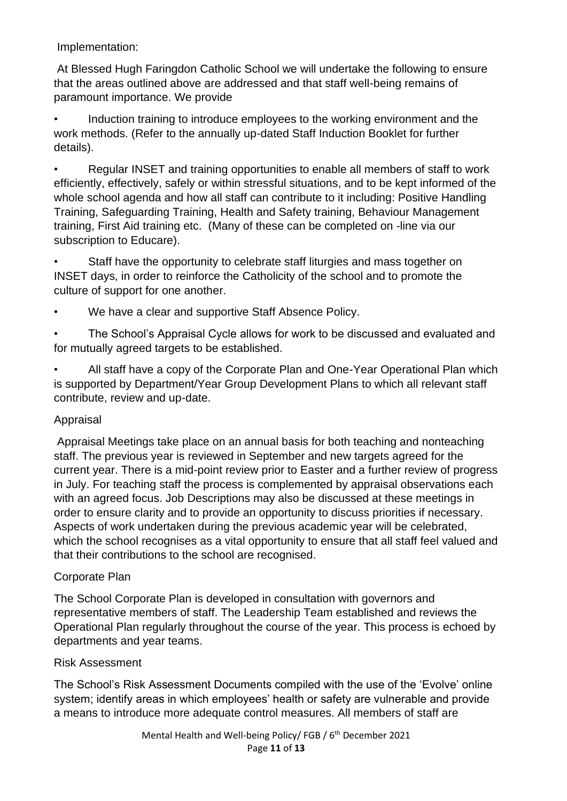Implementation:

At Blessed Hugh Faringdon Catholic School we will undertake the following to ensure that the areas outlined above are addressed and that staff well-being remains of paramount importance. We provide

• Induction training to introduce employees to the working environment and the work methods. (Refer to the annually up-dated Staff Induction Booklet for further details).

• Regular INSET and training opportunities to enable all members of staff to work efficiently, effectively, safely or within stressful situations, and to be kept informed of the whole school agenda and how all staff can contribute to it including: Positive Handling Training, Safeguarding Training, Health and Safety training, Behaviour Management training, First Aid training etc. (Many of these can be completed on -line via our subscription to Educare).

• Staff have the opportunity to celebrate staff liturgies and mass together on INSET days, in order to reinforce the Catholicity of the school and to promote the culture of support for one another.

We have a clear and supportive Staff Absence Policy.

• The School's Appraisal Cycle allows for work to be discussed and evaluated and for mutually agreed targets to be established.

• All staff have a copy of the Corporate Plan and One-Year Operational Plan which is supported by Department/Year Group Development Plans to which all relevant staff contribute, review and up-date.

### Appraisal

Appraisal Meetings take place on an annual basis for both teaching and nonteaching staff. The previous year is reviewed in September and new targets agreed for the current year. There is a mid-point review prior to Easter and a further review of progress in July. For teaching staff the process is complemented by appraisal observations each with an agreed focus. Job Descriptions may also be discussed at these meetings in order to ensure clarity and to provide an opportunity to discuss priorities if necessary. Aspects of work undertaken during the previous academic year will be celebrated, which the school recognises as a vital opportunity to ensure that all staff feel valued and that their contributions to the school are recognised.

### Corporate Plan

The School Corporate Plan is developed in consultation with governors and representative members of staff. The Leadership Team established and reviews the Operational Plan regularly throughout the course of the year. This process is echoed by departments and year teams.

#### Risk Assessment

The School's Risk Assessment Documents compiled with the use of the 'Evolve' online system; identify areas in which employees' health or safety are vulnerable and provide a means to introduce more adequate control measures. All members of staff are

> Mental Health and Well-being Policy/ FGB / 6<sup>th</sup> December 2021 Page **11** of **13**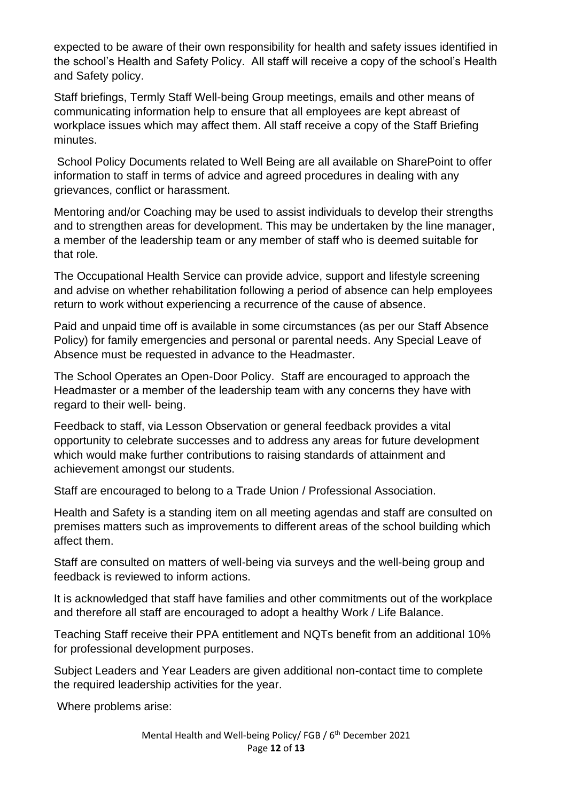expected to be aware of their own responsibility for health and safety issues identified in the school's Health and Safety Policy. All staff will receive a copy of the school's Health and Safety policy.

Staff briefings, Termly Staff Well-being Group meetings, emails and other means of communicating information help to ensure that all employees are kept abreast of workplace issues which may affect them. All staff receive a copy of the Staff Briefing minutes.

School Policy Documents related to Well Being are all available on SharePoint to offer information to staff in terms of advice and agreed procedures in dealing with any grievances, conflict or harassment.

Mentoring and/or Coaching may be used to assist individuals to develop their strengths and to strengthen areas for development. This may be undertaken by the line manager, a member of the leadership team or any member of staff who is deemed suitable for that role.

The Occupational Health Service can provide advice, support and lifestyle screening and advise on whether rehabilitation following a period of absence can help employees return to work without experiencing a recurrence of the cause of absence.

Paid and unpaid time off is available in some circumstances (as per our Staff Absence Policy) for family emergencies and personal or parental needs. Any Special Leave of Absence must be requested in advance to the Headmaster.

The School Operates an Open-Door Policy. Staff are encouraged to approach the Headmaster or a member of the leadership team with any concerns they have with regard to their well- being.

Feedback to staff, via Lesson Observation or general feedback provides a vital opportunity to celebrate successes and to address any areas for future development which would make further contributions to raising standards of attainment and achievement amongst our students.

Staff are encouraged to belong to a Trade Union / Professional Association.

Health and Safety is a standing item on all meeting agendas and staff are consulted on premises matters such as improvements to different areas of the school building which affect them.

Staff are consulted on matters of well-being via surveys and the well-being group and feedback is reviewed to inform actions.

It is acknowledged that staff have families and other commitments out of the workplace and therefore all staff are encouraged to adopt a healthy Work / Life Balance.

Teaching Staff receive their PPA entitlement and NQTs benefit from an additional 10% for professional development purposes.

Subject Leaders and Year Leaders are given additional non-contact time to complete the required leadership activities for the year.

Where problems arise: